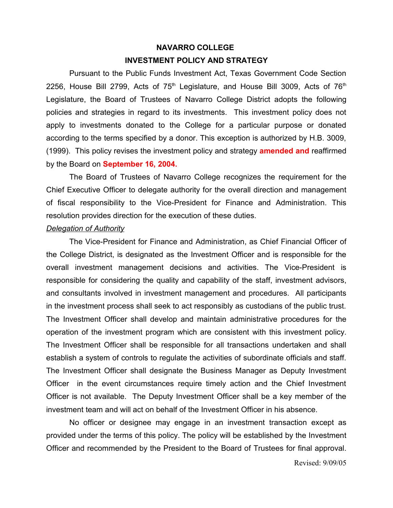# **NAVARRO COLLEGE INVESTMENT POLICY AND STRATEGY**

Pursuant to the Public Funds Investment Act, Texas Government Code Section 2256, House Bill 2799, Acts of  $75<sup>th</sup>$  Legislature, and House Bill 3009, Acts of  $76<sup>th</sup>$ Legislature, the Board of Trustees of Navarro College District adopts the following policies and strategies in regard to its investments. This investment policy does not apply to investments donated to the College for a particular purpose or donated according to the terms specified by a donor. This exception is authorized by H.B. 3009, (1999). This policy revises the investment policy and strategy **amended and** reaffirmed by the Board on **September 16, 2004.**

The Board of Trustees of Navarro College recognizes the requirement for the Chief Executive Officer to delegate authority for the overall direction and management of fiscal responsibility to the Vice-President for Finance and Administration. This resolution provides direction for the execution of these duties.

## *Delegation of Authority*

The Vice-President for Finance and Administration, as Chief Financial Officer of the College District, is designated as the Investment Officer and is responsible for the overall investment management decisions and activities. The Vice-President is responsible for considering the quality and capability of the staff, investment advisors, and consultants involved in investment management and procedures. All participants in the investment process shall seek to act responsibly as custodians of the public trust. The Investment Officer shall develop and maintain administrative procedures for the operation of the investment program which are consistent with this investment policy. The Investment Officer shall be responsible for all transactions undertaken and shall establish a system of controls to regulate the activities of subordinate officials and staff. The Investment Officer shall designate the Business Manager as Deputy Investment Officer in the event circumstances require timely action and the Chief Investment Officer is not available. The Deputy Investment Officer shall be a key member of the investment team and will act on behalf of the Investment Officer in his absence.

No officer or designee may engage in an investment transaction except as provided under the terms of this policy. The policy will be established by the Investment Officer and recommended by the President to the Board of Trustees for final approval.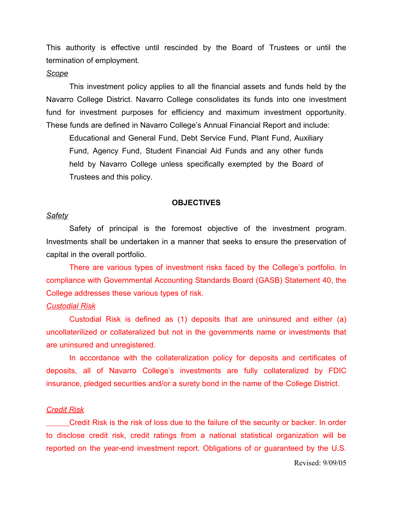This authority is effective until rescinded by the Board of Trustees or until the termination of employment.

#### *Scope*

This investment policy applies to all the financial assets and funds held by the Navarro College District. Navarro College consolidates its funds into one investment fund for investment purposes for efficiency and maximum investment opportunity. These funds are defined in Navarro College's Annual Financial Report and include:

Educational and General Fund, Debt Service Fund, Plant Fund, Auxiliary Fund, Agency Fund, Student Financial Aid Funds and any other funds held by Navarro College unless specifically exempted by the Board of Trustees and this policy.

#### **OBJECTIVES**

## *Safety*

Safety of principal is the foremost objective of the investment program. Investments shall be undertaken in a manner that seeks to ensure the preservation of capital in the overall portfolio.

There are various types of investment risks faced by the College's portfolio. In compliance with Governmental Accounting Standards Board (GASB) Statement 40, the College addresses these various types of risk.

#### *Custodial Risk*

Custodial Risk is defined as (1) deposits that are uninsured and either (a) uncollaterilized or collateralized but not in the governments name or investments that are uninsured and unregistered.

In accordance with the collateralization policy for deposits and certificates of deposits, all of Navarro College's investments are fully collateralized by FDIC insurance, pledged securities and/or a surety bond in the name of the College District.

#### *Credit Risk*

Credit Risk is the risk of loss due to the failure of the security or backer. In order to disclose credit risk, credit ratings from a national statistical organization will be reported on the year-end investment report. Obligations of or guaranteed by the U.S.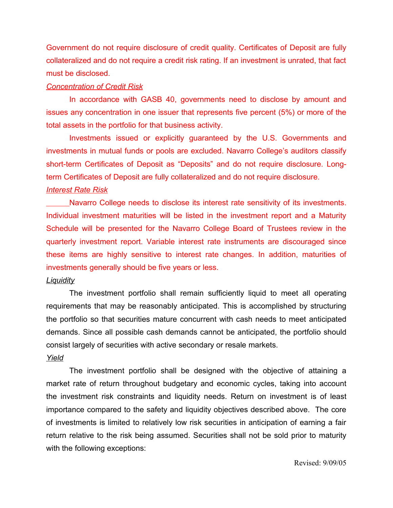Government do not require disclosure of credit quality. Certificates of Deposit are fully collateralized and do not require a credit risk rating. If an investment is unrated, that fact must be disclosed.

### *Concentration of Credit Risk*

In accordance with GASB 40, governments need to disclose by amount and issues any concentration in one issuer that represents five percent (5%) or more of the total assets in the portfolio for that business activity.

Investments issued or explicitly guaranteed by the U.S. Governments and investments in mutual funds or pools are excluded. Navarro College's auditors classify short-term Certificates of Deposit as "Deposits" and do not require disclosure. Longterm Certificates of Deposit are fully collateralized and do not require disclosure.

## *Interest Rate Risk*

Navarro College needs to disclose its interest rate sensitivity of its investments. Individual investment maturities will be listed in the investment report and a Maturity Schedule will be presented for the Navarro College Board of Trustees review in the quarterly investment report. Variable interest rate instruments are discouraged since these items are highly sensitive to interest rate changes. In addition, maturities of investments generally should be five years or less.

## *Liquidity*

The investment portfolio shall remain sufficiently liquid to meet all operating requirements that may be reasonably anticipated. This is accomplished by structuring the portfolio so that securities mature concurrent with cash needs to meet anticipated demands. Since all possible cash demands cannot be anticipated, the portfolio should consist largely of securities with active secondary or resale markets.

## *Yield*

The investment portfolio shall be designed with the objective of attaining a market rate of return throughout budgetary and economic cycles, taking into account the investment risk constraints and liquidity needs. Return on investment is of least importance compared to the safety and liquidity objectives described above. The core of investments is limited to relatively low risk securities in anticipation of earning a fair return relative to the risk being assumed. Securities shall not be sold prior to maturity with the following exceptions: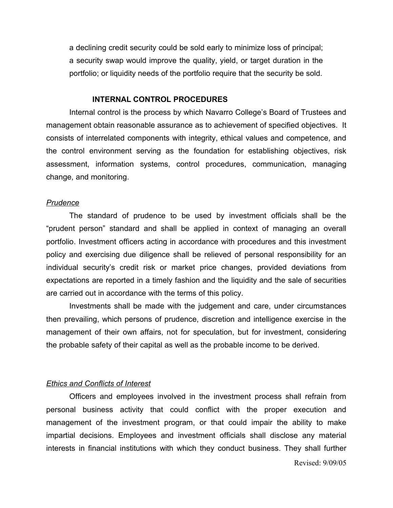a declining credit security could be sold early to minimize loss of principal; a security swap would improve the quality, yield, or target duration in the portfolio; or liquidity needs of the portfolio require that the security be sold.

#### **INTERNAL CONTROL PROCEDURES**

Internal control is the process by which Navarro College's Board of Trustees and management obtain reasonable assurance as to achievement of specified objectives. It consists of interrelated components with integrity, ethical values and competence, and the control environment serving as the foundation for establishing objectives, risk assessment, information systems, control procedures, communication, managing change, and monitoring.

#### *Prudence*

The standard of prudence to be used by investment officials shall be the "prudent person" standard and shall be applied in context of managing an overall portfolio. Investment officers acting in accordance with procedures and this investment policy and exercising due diligence shall be relieved of personal responsibility for an individual security's credit risk or market price changes, provided deviations from expectations are reported in a timely fashion and the liquidity and the sale of securities are carried out in accordance with the terms of this policy.

Investments shall be made with the judgement and care, under circumstances then prevailing, which persons of prudence, discretion and intelligence exercise in the management of their own affairs, not for speculation, but for investment, considering the probable safety of their capital as well as the probable income to be derived.

#### *Ethics and Conflicts of Interest*

Officers and employees involved in the investment process shall refrain from personal business activity that could conflict with the proper execution and management of the investment program, or that could impair the ability to make impartial decisions. Employees and investment officials shall disclose any material interests in financial institutions with which they conduct business. They shall further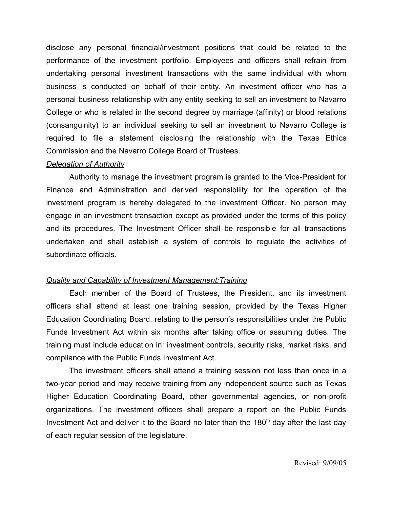disclose any personal financial/investment positions that could be related to the performance of the investment portfolio. Employees and officers shall refrain from undertaking personal investment transactions with the same individual with whom business is conducted on behalf of their entity. An investment officer who has a personal business relationship with any entity seeking to sell an investment to Navarro College or who is related in the second degree by marriage (affinity) or blood relations (consanguinity) to an individual seeking to sell an investment to Navarro College is required to file a statement disclosing the relationship with the Texas Ethics Commission and the Navarro College Board of Trustees.

#### *Delegation of Authority*

Authority to manage the investment program is granted to the Vice-President for Finance and Administration and derived responsibility for the operation of the investment program is hereby delegated to the Investment Officer. No person may engage in an investment transaction except as provided under the terms of this policy and its procedures. The Investment Officer shall be responsible for all transactions undertaken and shall establish a system of controls to regulate the activities of subordinate officials.

#### *Quality and Capability of Investment Management:Training*

Each member of the Board of Trustees, the President, and its investment officers shall attend at least one training session, provided by the Texas Higher Education Coordinating Board, relating to the person's responsibilities under the Public Funds Investment Act within six months after taking office or assuming duties. The training must include education in: investment controls, security risks, market risks, and compliance with the Public Funds Investment Act.

The investment officers shall attend a training session not less than once in a two-year period and may receive training from any independent source such as Texas Higher Education Coordinating Board, other governmental agencies, or non-profit organizations. The investment officers shall prepare a report on the Public Funds Investment Act and deliver it to the Board no later than the 180<sup>th</sup> day after the last day of each regular session of the legislature.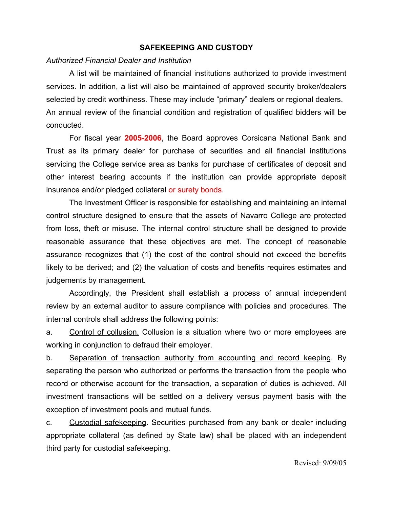## **SAFEKEEPING AND CUSTODY**

### *Authorized Financial Dealer and Institution*

A list will be maintained of financial institutions authorized to provide investment services. In addition, a list will also be maintained of approved security broker/dealers selected by credit worthiness. These may include "primary" dealers or regional dealers. An annual review of the financial condition and registration of qualified bidders will be conducted.

For fiscal year **2005-2006**, the Board approves Corsicana National Bank and Trust as its primary dealer for purchase of securities and all financial institutions servicing the College service area as banks for purchase of certificates of deposit and other interest bearing accounts if the institution can provide appropriate deposit insurance and/or pledged collateral or surety bonds.

The Investment Officer is responsible for establishing and maintaining an internal control structure designed to ensure that the assets of Navarro College are protected from loss, theft or misuse. The internal control structure shall be designed to provide reasonable assurance that these objectives are met. The concept of reasonable assurance recognizes that (1) the cost of the control should not exceed the benefits likely to be derived; and (2) the valuation of costs and benefits requires estimates and judgements by management.

Accordingly, the President shall establish a process of annual independent review by an external auditor to assure compliance with policies and procedures. The internal controls shall address the following points:

a. Control of collusion. Collusion is a situation where two or more employees are working in conjunction to defraud their employer.

b. Separation of transaction authority from accounting and record keeping. By separating the person who authorized or performs the transaction from the people who record or otherwise account for the transaction, a separation of duties is achieved. All investment transactions will be settled on a delivery versus payment basis with the exception of investment pools and mutual funds.

c. Custodial safekeeping. Securities purchased from any bank or dealer including appropriate collateral (as defined by State law) shall be placed with an independent third party for custodial safekeeping.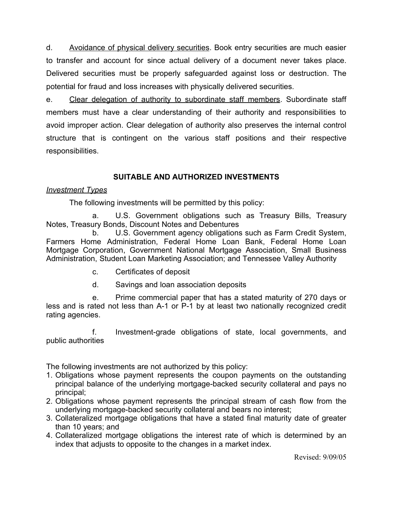d. Avoidance of physical delivery securities. Book entry securities are much easier to transfer and account for since actual delivery of a document never takes place. Delivered securities must be properly safeguarded against loss or destruction. The potential for fraud and loss increases with physically delivered securities.

e. Clear delegation of authority to subordinate staff members. Subordinate staff members must have a clear understanding of their authority and responsibilities to avoid improper action. Clear delegation of authority also preserves the internal control structure that is contingent on the various staff positions and their respective responsibilities.

# **SUITABLE AND AUTHORIZED INVESTMENTS**

## *Investment Types*

The following investments will be permitted by this policy:

a. U.S. Government obligations such as Treasury Bills, Treasury Notes, Treasury Bonds, Discount Notes and Debentures

b. U.S. Government agency obligations such as Farm Credit System, Farmers Home Administration, Federal Home Loan Bank, Federal Home Loan Mortgage Corporation, Government National Mortgage Association, Small Business Administration, Student Loan Marketing Association; and Tennessee Valley Authority

- c. Certificates of deposit
- d. Savings and loan association deposits

e. Prime commercial paper that has a stated maturity of 270 days or less and is rated not less than A-1 or P-1 by at least two nationally recognized credit rating agencies.

f. Investment-grade obligations of state, local governments, and public authorities

The following investments are not authorized by this policy:

- 1. Obligations whose payment represents the coupon payments on the outstanding principal balance of the underlying mortgage-backed security collateral and pays no principal;
- 2. Obligations whose payment represents the principal stream of cash flow from the underlying mortgage-backed security collateral and bears no interest;
- 3. Collateralized mortgage obligations that have a stated final maturity date of greater than 10 years; and
- 4. Collateralized mortgage obligations the interest rate of which is determined by an index that adjusts to opposite to the changes in a market index.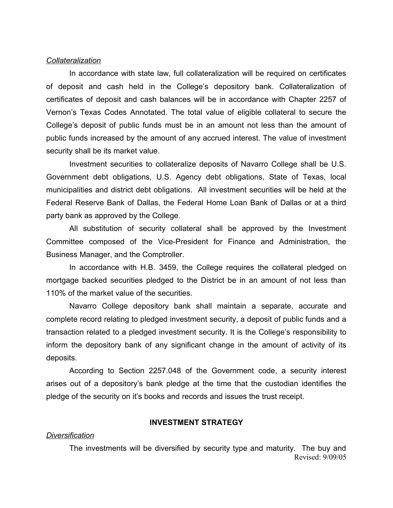#### *Collateralization*

In accordance with state law, full collateralization will be required on certificates of deposit and cash held in the College's depository bank. Collateralization of certificates of deposit and cash balances will be in accordance with Chapter 2257 of Vernon's Texas Codes Annotated. The total value of eligible collateral to secure the College's deposit of public funds must be in an amount not less than the amount of public funds increased by the amount of any accrued interest. The value of investment security shall be its market value.

Investment securities to collateralize deposits of Navarro College shall be U.S. Government debt obligations, U.S. Agency debt obligations, State of Texas, local municipalities and district debt obligations. All investment securities will be held at the Federal Reserve Bank of Dallas, the Federal Home Loan Bank of Dallas or at a third party bank as approved by the College.

All substitution of security collateral shall be approved by the Investment Committee composed of the Vice-President for Finance and Administration, the Business Manager, and the Comptroller.

In accordance with H.B. 3459, the College requires the collateral pledged on mortgage backed securities pledged to the District be in an amount of not less than 110% of the market value of the securities.

Navarro College depository bank shall maintain a separate, accurate and complete record relating to pledged investment security, a deposit of public funds and a transaction related to a pledged investment security. It is the College's responsibility to inform the depository bank of any significant change in the amount of activity of its deposits.

According to Section 2257.048 of the Government code, a security interest arises out of a depository's bank pledge at the time that the custodian identifies the pledge of the security on it's books and records and issues the trust receipt.

#### **INVESTMENT STRATEGY**

#### *Diversification*

The investments will be diversified by security type and maturity. The buy and Revised: 9/09/05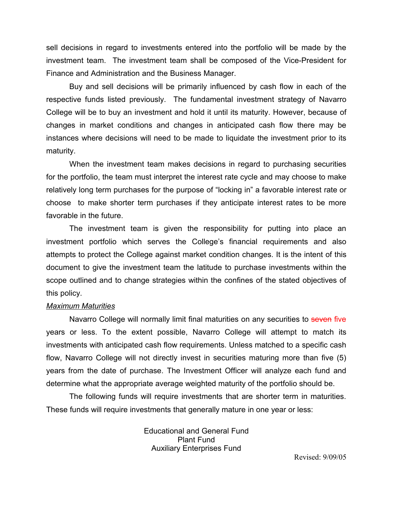sell decisions in regard to investments entered into the portfolio will be made by the investment team. The investment team shall be composed of the Vice-President for Finance and Administration and the Business Manager.

Buy and sell decisions will be primarily influenced by cash flow in each of the respective funds listed previously. The fundamental investment strategy of Navarro College will be to buy an investment and hold it until its maturity. However, because of changes in market conditions and changes in anticipated cash flow there may be instances where decisions will need to be made to liquidate the investment prior to its maturity.

When the investment team makes decisions in regard to purchasing securities for the portfolio, the team must interpret the interest rate cycle and may choose to make relatively long term purchases for the purpose of "locking in" a favorable interest rate or choose to make shorter term purchases if they anticipate interest rates to be more favorable in the future.

The investment team is given the responsibility for putting into place an investment portfolio which serves the College's financial requirements and also attempts to protect the College against market condition changes. It is the intent of this document to give the investment team the latitude to purchase investments within the scope outlined and to change strategies within the confines of the stated objectives of this policy.

#### *Maximum Maturities*

Navarro College will normally limit final maturities on any securities to seven five years or less. To the extent possible, Navarro College will attempt to match its investments with anticipated cash flow requirements. Unless matched to a specific cash flow, Navarro College will not directly invest in securities maturing more than five (5) years from the date of purchase. The Investment Officer will analyze each fund and determine what the appropriate average weighted maturity of the portfolio should be.

The following funds will require investments that are shorter term in maturities. These funds will require investments that generally mature in one year or less:

> Educational and General Fund Plant Fund Auxiliary Enterprises Fund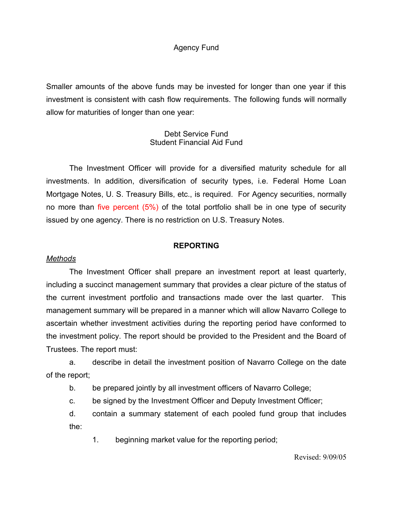## Agency Fund

Smaller amounts of the above funds may be invested for longer than one year if this investment is consistent with cash flow requirements. The following funds will normally allow for maturities of longer than one year:

## Debt Service Fund Student Financial Aid Fund

The Investment Officer will provide for a diversified maturity schedule for all investments. In addition, diversification of security types, i.e. Federal Home Loan Mortgage Notes, U. S. Treasury Bills, etc., is required. For Agency securities, normally no more than five percent (5%) of the total portfolio shall be in one type of security issued by one agency. There is no restriction on U.S. Treasury Notes.

## **REPORTING**

## *Methods*

The Investment Officer shall prepare an investment report at least quarterly, including a succinct management summary that provides a clear picture of the status of the current investment portfolio and transactions made over the last quarter. This management summary will be prepared in a manner which will allow Navarro College to ascertain whether investment activities during the reporting period have conformed to the investment policy. The report should be provided to the President and the Board of Trustees. The report must:

a. describe in detail the investment position of Navarro College on the date of the report;

b. be prepared jointly by all investment officers of Navarro College;

c. be signed by the Investment Officer and Deputy Investment Officer;

d. contain a summary statement of each pooled fund group that includes the:

1. beginning market value for the reporting period;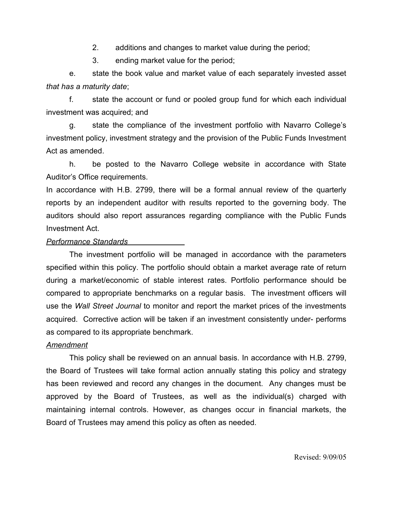2. additions and changes to market value during the period;

3. ending market value for the period;

e. state the book value and market value of each separately invested asset *that has a maturity date*;

f. state the account or fund or pooled group fund for which each individual investment was acquired; and

g. state the compliance of the investment portfolio with Navarro College's investment policy, investment strategy and the provision of the Public Funds Investment Act as amended.

h. be posted to the Navarro College website in accordance with State Auditor's Office requirements.

In accordance with H.B. 2799, there will be a formal annual review of the quarterly reports by an independent auditor with results reported to the governing body. The auditors should also report assurances regarding compliance with the Public Funds Investment Act.

## *Performance Standards*

The investment portfolio will be managed in accordance with the parameters specified within this policy. The portfolio should obtain a market average rate of return during a market/economic of stable interest rates. Portfolio performance should be compared to appropriate benchmarks on a regular basis. The investment officers will use the *Wall Street Journal* to monitor and report the market prices of the investments acquired. Corrective action will be taken if an investment consistently under- performs as compared to its appropriate benchmark.

## *Amendment*

This policy shall be reviewed on an annual basis. In accordance with H.B. 2799, the Board of Trustees will take formal action annually stating this policy and strategy has been reviewed and record any changes in the document. Any changes must be approved by the Board of Trustees, as well as the individual(s) charged with maintaining internal controls. However, as changes occur in financial markets, the Board of Trustees may amend this policy as often as needed.